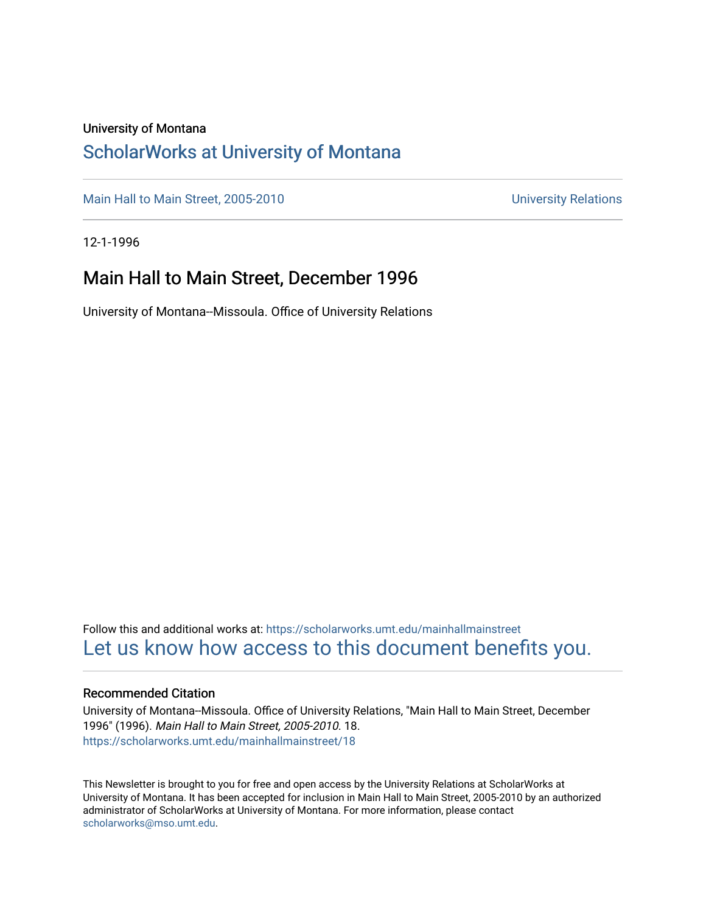#### University of Montana

#### [ScholarWorks at University of Montana](https://scholarworks.umt.edu/)

[Main Hall to Main Street, 2005-2010](https://scholarworks.umt.edu/mainhallmainstreet) Main Hall to Main Street, 2005-2010

12-1-1996

#### Main Hall to Main Street, December 1996

University of Montana--Missoula. Office of University Relations

Follow this and additional works at: [https://scholarworks.umt.edu/mainhallmainstreet](https://scholarworks.umt.edu/mainhallmainstreet?utm_source=scholarworks.umt.edu%2Fmainhallmainstreet%2F18&utm_medium=PDF&utm_campaign=PDFCoverPages) [Let us know how access to this document benefits you.](https://goo.gl/forms/s2rGfXOLzz71qgsB2) 

#### Recommended Citation

University of Montana--Missoula. Office of University Relations, "Main Hall to Main Street, December 1996" (1996). Main Hall to Main Street, 2005-2010. 18. [https://scholarworks.umt.edu/mainhallmainstreet/18](https://scholarworks.umt.edu/mainhallmainstreet/18?utm_source=scholarworks.umt.edu%2Fmainhallmainstreet%2F18&utm_medium=PDF&utm_campaign=PDFCoverPages) 

This Newsletter is brought to you for free and open access by the University Relations at ScholarWorks at University of Montana. It has been accepted for inclusion in Main Hall to Main Street, 2005-2010 by an authorized administrator of ScholarWorks at University of Montana. For more information, please contact [scholarworks@mso.umt.edu.](mailto:scholarworks@mso.umt.edu)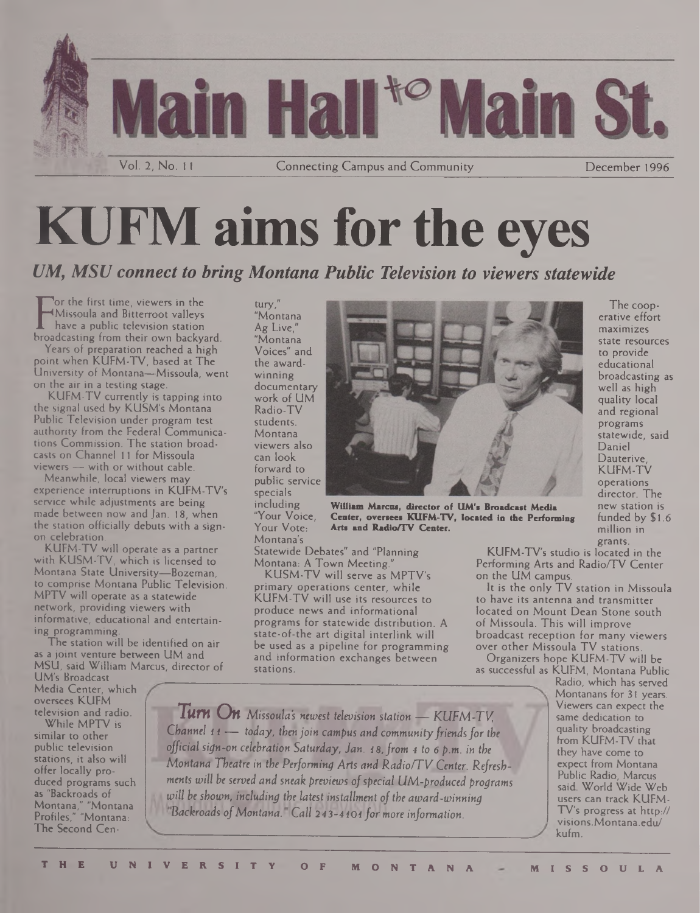

# **KUFM aims for the eyes**

*UM, MSU connect to bring Montana Public Television to viewers statewide*

Find the distribution of the process have a public television station<br>broadcasting from their own backyard. **or the first time, viewers in the Missoula and Bitterroot valleys have a public television station**

**Years of preparation reached a high point when KUFM-TV, based at The University of Montana—Missoula, went on the air in a testing stage.**

**KUFM-TV currently is tapping into the signal used by KUSM's Montana Public Television under program test authority from the Federal Communications Commission. The station broadcasts on Channel 11 for Missoula viewers — with or without cable.**

**Meanwhile, local viewers may experience interruptions in KUFM-TV's service while adjustments are being made between now and Jan. 18, when the station officially debuts with a signon celebration.**

**KUFM-TV will operate as a partner with KUSM-TV, which is licensed to Montana State University—Bozeman, to comprise Montana Public Television. MPTV will operate as a statewide network, providing viewers with informative, educational and entertaining programming.**

**The station will be identified on air as a joint venture between UM and MSU, said William Marcus, director of**

**UM's Broadcast Media Center, which oversees KUFM television and radio.**

**While MPTV is similar to other public television stations, it also will offer locally produced programs such as "Backroads of Montana," "Montana Profiles," "Montana: The Second Cen-** **tury," "Montana Ag Live," "Montana Voices" and the awardwinning documentary work of UM Radio-TV students. Montana viewers also can look forward to public service specials including "Your Voice, Your Vote: Montana's**



**William Marcus, director of UM's Broadcast Media Center, oversees KUFM-TV, located in the Performing Arts and Radio/TV Center.**

**Statewide Debates" and "Planning Montana: A Town Meeting."**

**KUSM-TV will serve as MPTV's primary operations center, while KUFM-TV will use its resources to produce news and informational programs for statewide distribution. A state-of-the art digital interlink will be used as a pipeline for programming and information exchanges between stations.**

**well as high quality local and regional programs statewide, said Daniel Dauterive, KUFM-TV operations director. The new station is funded by \$1.6 million in grants.**

**The cooperative effort maximizes state resources to provide educational broadcasting as**

**KUFM-TV's studio is located in the Performing Arts and Radio/TV Center on the UM campus.**

**It is the only TV station in Missoula to have its antenna and transmitter located on Mount Dean Stone south of Missoula. This will improve broadcast reception for many viewers over other Missoula TV stations.**

**Organizers hope KUFM-TV will be as successful as KUFM, Montana Public**

**\_\_\_\_\_\_\_\_\_\_ Radio, which has served**

*Turn On Missoula's newest television station — KUFM-TV, Channel 1*<sup>1</sup> — *today, then join campus and communityfriendsfor the official sign-on celebration Saturday, Jan. 18,from 4 to 6 p.m. in the Montana Theatre in the Performing Arts and Radio/TV Center. Refreshments will be served and sneak previews ofspecial UM-produced programs will be shown, including the latest installment of the award-winning Backroads ofMontana. Call 243-4101 formore information.* **Montanans for 31 years. Viewers can expect the same dedication to quality broadcasting from KUFM-TV that they have come to expect from Montana Public Radio, Marcus said. World Wide Web users can track KUFM-TV's progress at http:// <visions.Montana.edu/> kufm.**

**<sup>T</sup> <sup>H</sup> <sup>E</sup> UNIVERSITY <sup>O</sup> <sup>F</sup> MONTANA MISSOULA**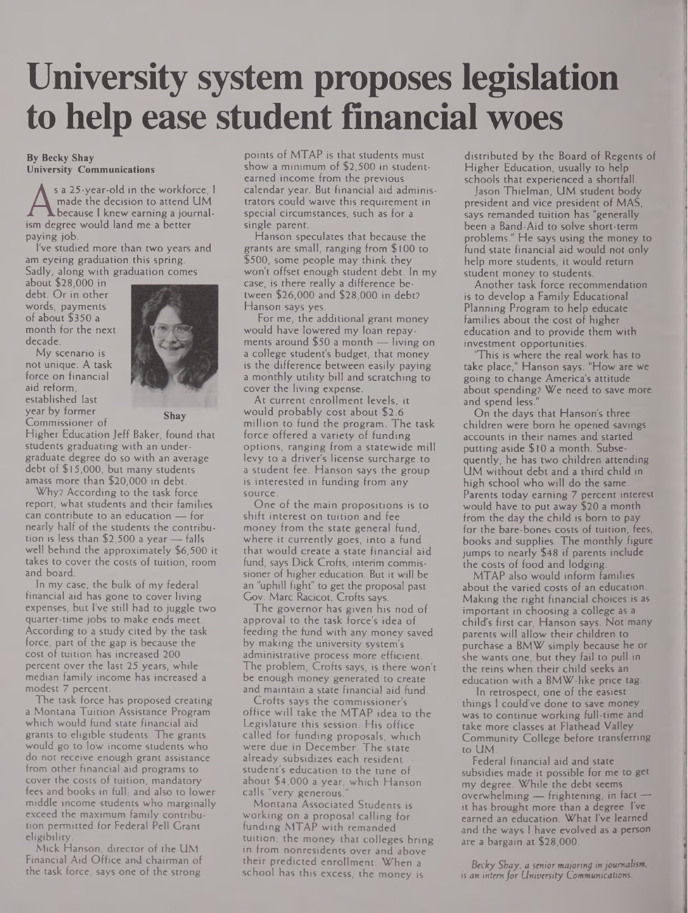# **University system proposes legislation to help ease student financial woes**

#### **By Becky Shay University Communications**

A made the decision to attend UM<br>ism degree would land me a better<br>paving ich <sup>s</sup> a 25-year-old in the workforce, <sup>I</sup> made the decision to attend UM .because <sup>I</sup> knew earning a journalpaying job.

I've studied more than two years and am eyeing graduation this spring. Sadly, along with graduation comes

about \$28,000 in debt. Or in other words, payments of about \$350 a month for the next decade.

My scenario is not unique. A task force on financial aid reform, established last year by former Commissioner of **Shay**



Higher Education Jeff Baker, found that students graduating with an undergraduate degree do so with an average debt of \$15,000, but many students amass more than \$20,000 in debt.

Why? According to the task force report, what students and their families can contribute to an education — for nearly half of the students the contribution is less than \$2,500 a year — falls well behind the approximately \$6,500 it takes to cover the costs of tuition, room and board.

In my case, the bulk of my federal financial aid has gone to cover living expenses, but I've still had to juggle two quarter-time jobs to make ends meet. According to a study cited by the task force, part of the gap is because the cost of tuition has increased 200 percent over the last 25 years, while median family income has increased a modest 7 percent.

The task force has proposed creating a Montana Tuition Assistance Program which would fund state financial aid grants to eligible students. The grants would go to low income students who do not receive enough grant assistance from other financial aid programs to cover the costs of tuition, mandatory fees and books in full, and also to lower middle income students who marginally exceed the maximum family contribution permitted for Federal Pell Grant eligibility.

Mick Hanson, director of the UM Financial Aid Office and chairman of the task force, says one of the strong points of MTAP is that students must show a minimum of \$2,500 in studentearned income from the previous calendar year. But financial aid administrators could waive this requirement in special circumstances, such as for a single parent.

Hanson speculates that because the grants are small, ranging from \$100 to \$500, some people may think they won't offset enough student debt. In my case, is there really a difference between \$26,000 and \$28,000 in debt? Hanson says yes.

For me, the additional grant money would have lowered my loan repayments around \$50 a month — living on a college student's budget, that money is the difference between easily paying a monthly utility bill and scratching to cover the living expense.

At current enrollment levels, it would probably cost about \$2.6 million to fund the program. The task force offered a variety of funding options, ranging from a statewide mill levy to a driver's license surcharge to a student fee. Hanson says the group is interested in funding from any source.

One of the main propositions is to shift interest on tuition and fee money from the state general fund, where it currently goes, into a fund that would create a state financial aid fund, says Dick Crofts, interim commissioner of higher education. But it will be an "uphill fight" to get the proposal past Gov. Marc Racicot, Crofts says.

The governor has given his nod of approval to the task force's idea of feeding the fund with any money saved by making the university system's administrative process more efficient. The problem, Crofts says, is there won't be enough money generated to create and maintain a state financial aid fund.

Crofts says the commissioner's office will take the MTAP idea to the Legislature this session. His office called for funding proposals, which were due in December. The state already subsidizes each resident student's education to the tune of about \$4,000 a year, which Hanson calls "very generous."

Montana Associated Students is working on a proposal calling for funding MTAP with remanded tuition, the money that colleges bring in from nonresidents over and above their predicted enrollment. When a school has this excess, the money is

distributed by the Board of Regents of Higher Education, usually to help schools that experienced a shortfall.

Jason Thielman, UM student body president and vice president of MAS, says remanded tuition has "generally been a Band-Aid to solve short-term problems." He says using the money to fund state financial aid would not only help more students, it would return student money to students.

Another task force recommendation is to develop a Family Educational Planning Program to help educate families about the cost of higher education and to provide them with investment opportunities.

This is where the real work has to take place," Hanson says. "How are we going to change America's attitude about spending? We need to save more and spend less.

On the days that Hanson's three children were born he opened savings accounts in their names and started putting aside \$10 a month. Subsequently, he has two children attending UM without debt and a third child in high school who will do the same. Parents today earning 7 percent interest would have to put away \$20 a month from the day the child is born to pay for the bare-bones costs of tuition, fees, books and supplies. The monthly figure jumps to nearly \$48 if parents include the costs of food and lodging.

MTAP also would inform families about the varied costs of an education. Making the right financial choices is as important in choosing a college as a child's first car, Hanson says. Not many parents will allow their children to purchase a BMW simply because he or she wants one, but they fail to pull in the reins when their child seeks an education with a BMW-like price tag.

In retrospect, one of the easiest things <sup>I</sup> could've done to save money was to continue working full-time and take more classes at Flathead Valley Community College before transferring to UM.

Federal financial aid and state subsidies made it possible for me to get my degree. While the debt seems overwhelming — frightening, in fact it has brought more than a degree. I've earned an education. What I've learned and the ways I have evolved as a person are a bargain at \$28,000.

*Becky Shay, a senior majoring in journalism, is an internfor University Communications.*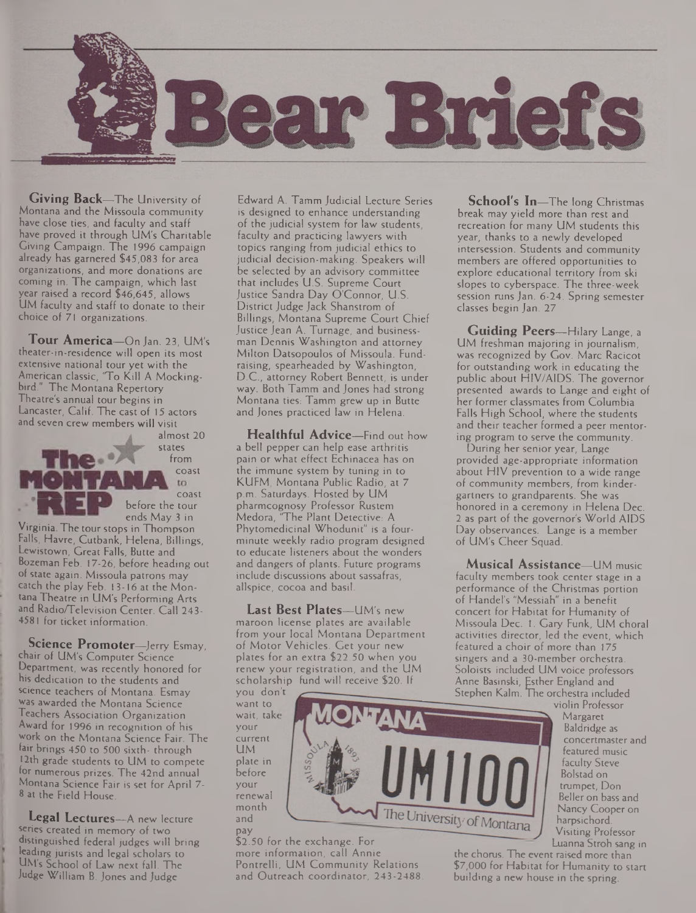

**Giving Back—**The University of Montana and the Missoula community have close ties, and faculty and staff have proved it through UM's Charitable Giving Campaign. The 1996 campaign already has garnered \$45,083 for area organizations, and more donations are coming in. The campaign, which last year raised a record \$46,645, allows UM faculty and staff to donate to their choice of 71 organizations.

**Tour America—**On Jan. 23, UM's theater-in-residence will open its most extensive national tour yet with the American classic, 'To Kill A Mockingbird." The Montana Repertory Theatre's annual tour begins in Lancaster, Calif. The cast of 15 actors and seven crew members will visit

almost 20 states from coast to \_ coast before the tour ends May 3 in

Virginia. The tour stops in Thompson Falls, Havre, Cutbank, Helena, Billings, Lewistown, Great Falls, Butte and Bozeman Feb. 17-26, before heading out of state again. Missoula patrons may catch the play Feb. 13-16 at the Montana Theatre in UM's Performing Arts and Radio/Television Center. Call 243- 4581 for ticket information.

**Science Promoter—**Jerry Esmay, chair of UM's Computer Science Department, was recently honored for his dedication to the students and science teachers of Montana. Esmay was awarded the Montana Science Teachers Association Organization Award for 1996 in recognition of his work on the Montana Science Fair. The fair brings 450 to 500 sixth- through 12th grade students to UM to compete for numerous prizes. The 42nd annual Montana Science Fair is set for April 7- 8 at the Field House.

**Legal Lectures—**A new lecture series created in memory of two distinguished federal judges will bring leading jurists and legal scholars to UM's School of Law next fall. The Judge William B. Jones and Judge

Edward A. Tamm Judicial Lecture Series is designed to enhance understanding of the judicial system for law students, faculty and practicing lawyers with topics ranging from judicial ethics to judicial decision-making. Speakers will be selected by an advisory committee that includes U.S. Supreme Court Justice Sandra Day O'Connor, U.S. District Judge Jack Shanstrom of Billings, Montana Supreme Court Chief Justice Jean A. Turnage, and businessman Dennis Washington and attorney Milton Datsopoulos of Missoula. Fundraising, spearheaded by Washington, D.C., attorney Robert Bennett, is under way. Both Tamm and Jones had strong Montana ties: Tamm grew up in Butte and Jones practiced law in Helena.

**Healthful Advice—**Find out how a bell pepper can help ease arthritis pain or what effect Echinacea has on the immune system by tuning in to KUFM, Montana Public Radio, at 7 p.m. Saturdays. Hosted by UM pharmcognosy Professor Rustem Medora, 'The Plant Detective: A Phytomedicinal Whodunit" is a fourminute weekly radio program designed to educate listeners about the wonders and dangers of plants. Future programs include discussions about sassafras, allspice, cocoa and basil.

**Last Best Plates—**UM's new maroon license plates are available from your local Montana Department of Motor Vehicles. Get your new plates for an extra \$22.50 when you renew your registration, and the UM scholarship fund will receive \$20. If

you don't want to wait, take your current UM plate in before your renewal month and pay

\$2.50 for the exchange. For more information, call Annie Pontrelli, UM Community Relations and Outreach coordinator, 243-2488.

**School's In—**The long Christmas break may yield more than rest and recreation for many UM students this year, thanks to a newly developed intersession. Students and community members are offered opportunities to explore educational territory from ski slopes to cyberspace. The three-week session runs Jan. 6-24. Spring semester classes begin Jan. 27

**Guiding Peers—**Hilary Lange, <sup>a</sup> UM freshman majoring in journalism, was recognized by Gov. Marc Racicot for outstanding work in educating the public about HIV/AIDS. The governor presented awards to Lange and eight of her former classmates from Columbia Falls High School, where the students and their teacher formed a peer mentoring program to serve the community.

During her senior year, Lange provided age-appropriate information about HIV prevention to a wide range of community members, from kindergartners to grandparents. She was honored in a ceremony in Helena Dec. 2 as part of the governor's World AIDS Day observances. Lange is a member of UM's Cheer Squad.

**Musical Assistance—**UM music faculty members took center stage in a performance of the Christmas portion of Handel's "Messiah" in a benefit concert for Habitat for Humanity of Missoula Dec. 1. Gary Funk, UM choral activities director, led the event, which featured a choir of more than 175 singers and a 30-member orchestra. Soloists included UM voice professors Anne Basinski, Esther England and Stephen Kalm. The orchestra included

violin Professor Margaret Baldridge as concertmaster and featured music faculty Steve Bolstad on trumpet, Don Beller on bass and Nancy Cooper on harpsichord. Visiting Professor Luanna Stroh sang in

the chorus. The event raised more than \$7,000 for Habitat for Humanity to start building a new house in the spring.